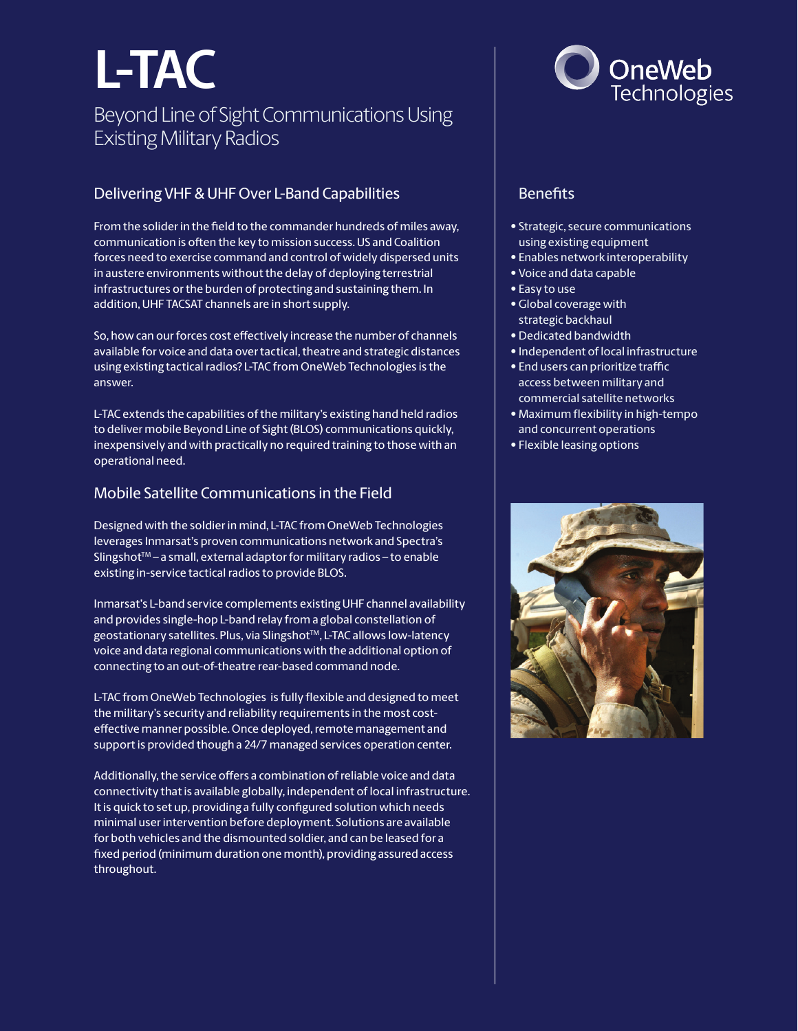## **L-TAC**

### Beyond Line of Sight Communications Using Existing Military Radios

#### Delivering VHF & UHF Over L-Band Capabilities

From the solider in the field to the commander hundreds of miles away, communication is often the key to mission success. US and Coalition forces need to exercise command and control of widely dispersed units in austere environments without the delay of deploying terrestrial infrastructures or the burden of protecting and sustaining them. In addition, UHF TACSAT channels are in short supply.

So, how can our forces cost effectively increase the number of channels available for voice and data over tactical, theatre and strategic distances using existing tactical radios? L-TAC from OneWeb Technologies is the answer.

L-TAC extends the capabilities of the military's existing hand held radios to deliver mobile Beyond Line of Sight (BLOS) communications quickly, inexpensively and with practically no required training to those with an operational need.

#### Mobile Satellite Communications in the Field

Designed with the soldier in mind, L-TAC from OneWeb Technologies leverages Inmarsat's proven communications network and Spectra's Slingshot<sup>™</sup> – a small, external adaptor for military radios – to enable existing in-service tactical radios to provide BLOS.

Inmarsat's L-band service complements existing UHF channel availability and provides single-hop L-band relay from a global constellation of geostationary satellites. Plus, via Slingshot™, L-TAC allows low-latency voice and data regional communications with the additional option of connecting to an out-of-theatre rear-based command node.

L-TAC from OneWeb Technologies is fully flexible and designed to meet the military's security and reliability requirements in the most costeffective manner possible. Once deployed, remote management and support is provided though a 24/7 managed services operation center.

Additionally, the service offers a combination of reliable voice and data connectivity that is available globally, independent of local infrastructure. It is quick to set up, providing a fully configured solution which needs minimal user intervention before deployment. Solutions are available for both vehicles and the dismounted soldier, and can be leased for a fixed period (minimum duration one month), providing assured access throughout.



#### **Benefits**

- Strategic, secure communications using existing equipment
- Enables network interoperability
- Voice and data capable
- Easy to use
- Global coverage with strategic backhaul
- Dedicated bandwidth
- Independent of local infrastructure
- End users can prioritize traffic access between military and commercial satellite networks
- Maximum flexibility in high-tempo and concurrent operations
- Flexible leasing options